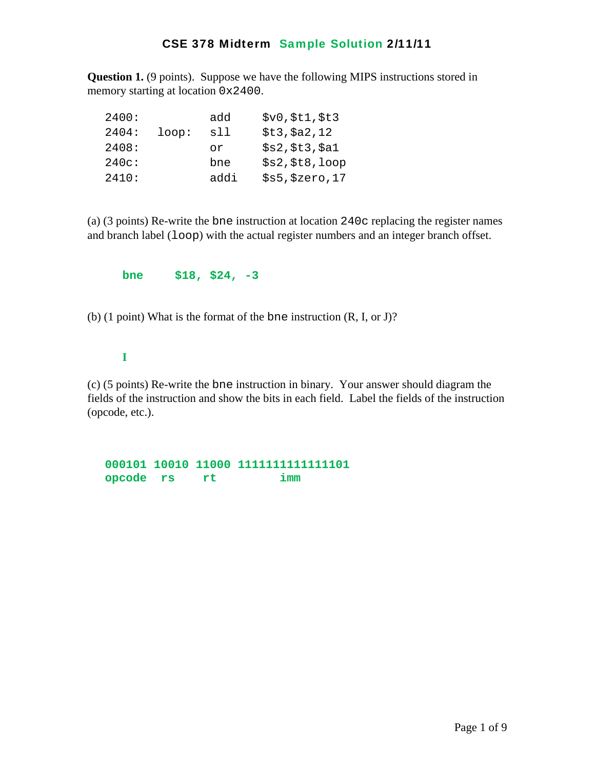**Question 1.** (9 points). Suppose we have the following MIPS instructions stored in memory starting at location 0x2400.

| 2400: |       | add  | \$v0, \$t1, \$t3 |
|-------|-------|------|------------------|
| 2404: | loop: | sll  | \$t3, \$a2, 12   |
| 2408: |       | or   | \$s2, \$t3, \$a1 |
| 240c: |       | bne  | \$s2, \$t8, loop |
| 2410: |       | addi | \$s5, \$zero, 17 |

(a) (3 points) Re-write the bne instruction at location 240c replacing the register names and branch label (loop) with the actual register numbers and an integer branch offset.

**bne \$18, \$24, -3** 

(b) (1 point) What is the format of the bne instruction (R, I, or J)?

**I** 

(c) (5 points) Re-write the bne instruction in binary. Your answer should diagram the fields of the instruction and show the bits in each field. Label the fields of the instruction (opcode, etc.).

**000101 10010 11000 1111111111111101 opcode rs rt imm**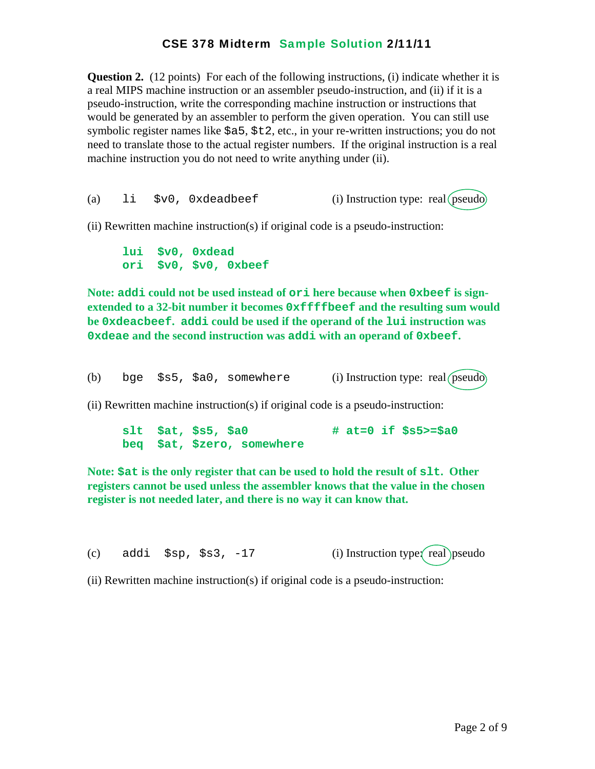**Question 2.** (12 points) For each of the following instructions, (i) indicate whether it is a real MIPS machine instruction or an assembler pseudo-instruction, and (ii) if it is a pseudo-instruction, write the corresponding machine instruction or instructions that would be generated by an assembler to perform the given operation. You can still use symbolic register names like  $$a5, $t2, etc.,$  in your re-written instructions; you do not need to translate those to the actual register numbers. If the original instruction is a real machine instruction you do not need to write anything under (ii).

(a)  $1i$   $$v0$ ,  $0x$ deadbeef (i) Instruction type: real (pseudo)

(ii) Rewritten machine instruction(s) if original code is a pseudo-instruction:

 **lui \$v0, 0xdead ori \$v0, \$v0, 0xbeef** 

**Note: addi could not be used instead of ori here because when 0xbeef is signextended to a 32-bit number it becomes 0xffffbeef and the resulting sum would be 0xdeacbeef. addi could be used if the operand of the lui instruction was 0xdeae and the second instruction was addi with an operand of 0xbeef.** 

(b) bge  $$s5, $a0,$  somewhere (i) Instruction type: real (pseudo)

(ii) Rewritten machine instruction(s) if original code is a pseudo-instruction:

 **slt \$at, \$s5, \$a0 # at=0 if \$s5>=\$a0 beq \$at, \$zero, somewhere** 

**Note: \$at is the only register that can be used to hold the result of slt. Other registers cannot be used unless the assembler knows that the value in the chosen register is not needed later, and there is no way it can know that.** 

(c) addi  $$sp, $s3, -17$  (i) Instruction type $\text{real}$ ) pseudo

(ii) Rewritten machine instruction(s) if original code is a pseudo-instruction: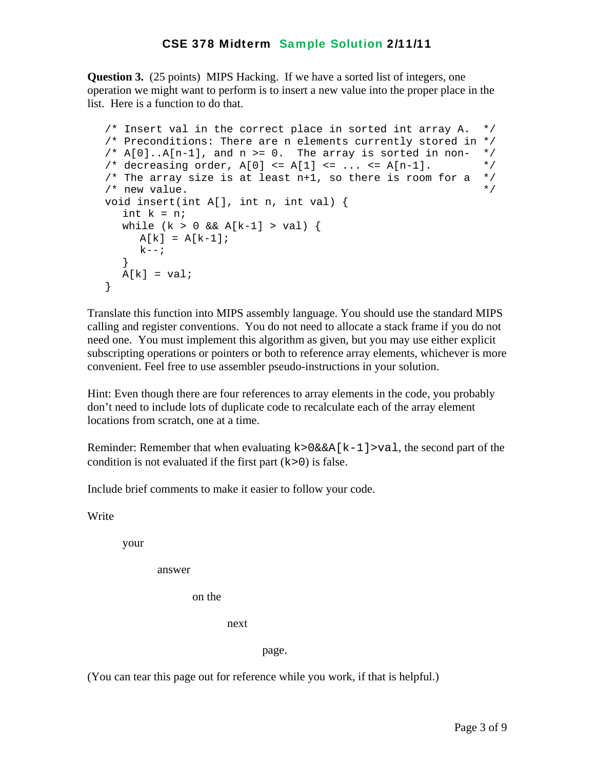**Question 3.** (25 points) MIPS Hacking. If we have a sorted list of integers, one operation we might want to perform is to insert a new value into the proper place in the list. Here is a function to do that.

```
 /* Insert val in the correct place in sorted int array A. */ 
 /* Preconditions: There are n elements currently stored in */ 
/* A[0].A[n-1], and n >= 0. The array is sorted in non- *//* decreasing order, A[0] <= A[1] <= ... <= A[n-1]. */
/* The array size is at least n+1, so there is room for a */\frac{1}{2} new value.
 void insert(int A[], int n, int val) { 
  int k = n;
  while (k > 0 \& k \& A[k-1] > val) {
     A[k] = A[k-1];
    k--; } 
  A[k] = val; }
```
Translate this function into MIPS assembly language. You should use the standard MIPS calling and register conventions. You do not need to allocate a stack frame if you do not need one. You must implement this algorithm as given, but you may use either explicit subscripting operations or pointers or both to reference array elements, whichever is more convenient. Feel free to use assembler pseudo-instructions in your solution.

Hint: Even though there are four references to array elements in the code, you probably don't need to include lots of duplicate code to recalculate each of the array element locations from scratch, one at a time.

Reminder: Remember that when evaluating  $k > 0$ &&A[k-1]>val, the second part of the condition is not evaluated if the first part  $(k>0)$  is false.

Include brief comments to make it easier to follow your code.

Write

your

answer

on the

next

page.

(You can tear this page out for reference while you work, if that is helpful.)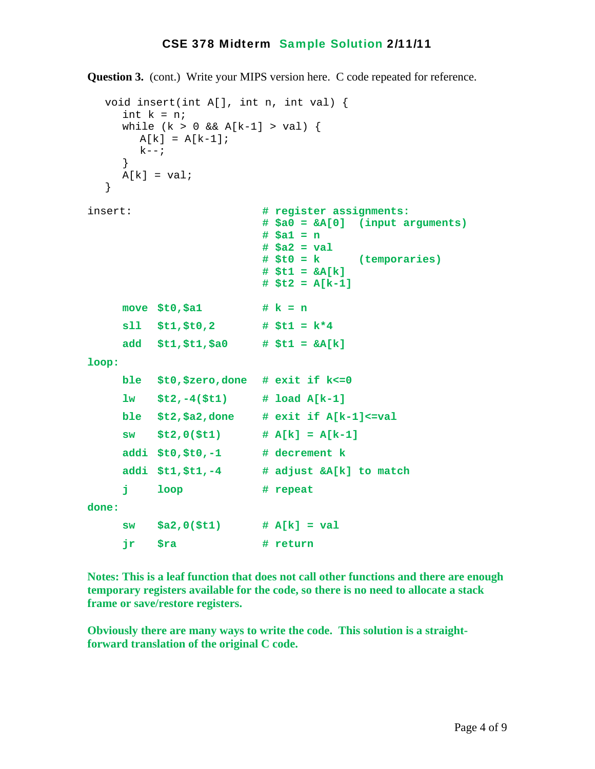**Question 3.** (cont.) Write your MIPS version here. C code repeated for reference.

```
 void insert(int A[], int n, int val) { 
    int k = n;
    while (k > 0 \& k \& A[k-1] > val) {
       A[k] = A[k-1];k--; } 
    A[k] = val; } 
insert: # register assignments: 
                         # $a0 = &A[0] (input arguments) 
                         # $a1 = n 
                         # $a2 = val 
                         # $t0 = k (temporaries) 
                         # $t1 = &A[k] 
                         # $t2 = A[k-1] 
    move $t0,$a1 # k = n
     sll $t1,$t0,2 # $t1 = k*4 
     add $t1,$t1,$a0 # $t1 = &A[k] 
loop: 
     ble $t0,$zero,done # exit if k<=0 
     lw $t2,-4($t1) # load A[k-1] 
     ble $t2,$a2,done # exit if A[k-1]<=val 
     sw $t2,0($t1) # A[k] = A[k-1] 
     addi $t0,$t0,-1 # decrement k 
     addi $t1,$t1,-4 # adjust &A[k] to match 
     j loop # repeat 
done: 
     sw $a2,0($t1) # A[k] = val 
     jr $ra # return
```
**Notes: This is a leaf function that does not call other functions and there are enough temporary registers available for the code, so there is no need to allocate a stack frame or save/restore registers.** 

**Obviously there are many ways to write the code. This solution is a straightforward translation of the original C code.**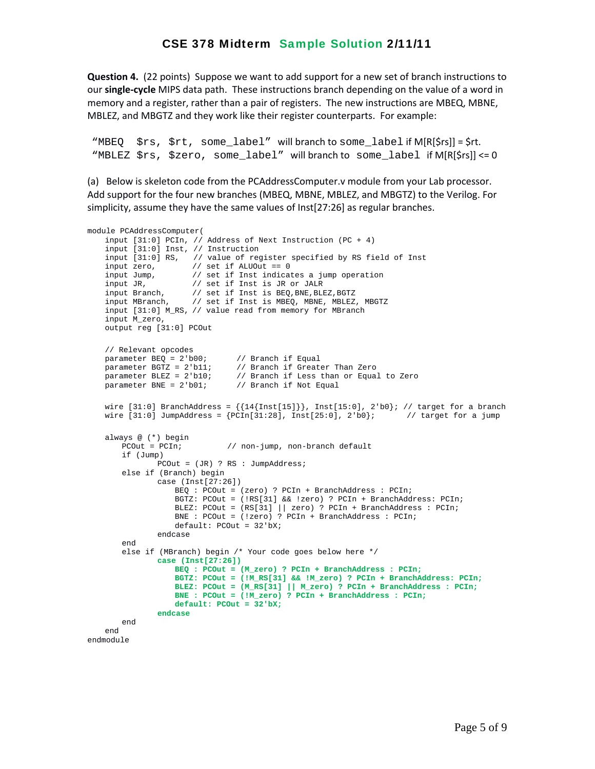**Question 4.** (22 points) Suppose we want to add support for a new set of branch instructions to our **single‐cycle** MIPS data path. These instructions branch depending on the value of a word in memory and a register, rather than a pair of registers. The new instructions are MBEQ, MBNE, MBLEZ, and MBGTZ and they work like their register counterparts. For example:

"MBEQ \$rs, \$rt, some\_label" will branch to some\_label if M[R[\$rs]] = \$rt. "MBLEZ \$rs, \$zero, some\_label" will branch to some\_label if M[R[\$rs]] <= 0

(a) Below is skeleton code from the PCAddressComputer.v module from your Lab processor. Add support for the four new branches (MBEQ, MBNE, MBLEZ, and MBGTZ) to the Verilog. For simplicity, assume they have the same values of Inst[27:26] as regular branches.

```
module PCAddressComputer(
     input [31:0] PCIn, // Address of Next Instruction (PC + 4)
     input [31:0] Inst, // Instruction
     input [31:0] RS, // value of register specified by RS field of Inst 
 input zero, // set if ALUOut == 0
 input Jump, // set if Inst indicates a jump operation
     input JR, // set if Inst is JR or JALR
 input Branch, // set if Inst is BEQ,BNE,BLEZ,BGTZ
 input MBranch, // set if Inst is MBEQ, MBNE, MBLEZ, MBGTZ
     input [31:0] M_RS, // value read from memory for MBranch
     input M_zero, 
    output reg [31:0] PCOut
     // Relevant opcodes
   parameter BEQ = 2'b00; // Branch if Equal<br>parameter BGTZ = 2'b11; // Branch if Great
                                 // Branch if Greater Than Zero
   parameter BLEZ = 2'b10; // Branch if Less than or Equal to Zero parameter BNE = 2'b01; // Branch if Not Equal
                               \frac{1}{2} Branch if Not Equal
   wire [31:0] BranchAddress = \{14\{\text{Inst}[15]\}\}\, Inst[15:0], 2'b0}; // target for a branch
    wire [31:0] JumpAddress = {PCIn[31:28]}, Inst[25:0], 2'bb; // target for a jump
    always @ (*) begin<br>PCOut = PCIn;
                               // non-jump, non-branch default
         if (Jump)
               PCOut = (JR) ? RS : JumpAddress;
         else if (Branch) begin
                case (Inst[27:26])
                    BEQ : PCOut = (zero) ? PCIn + BranchAddress : PCIn;
                     BGTZ: PCOut = (!RS[31] && !zero) ? PCIn + BranchAddress: PCIn;
                     BLEZ: PCOut = (RS[31] || zero) ? PCIn + BranchAddress : PCIn;
                     BNE : PCOut = (!zero) ? PCIn + BranchAddress : PCIn;
                    default: PCOut = 32'bX;
                 endcase
         end 
         else if (MBranch) begin /* Your code goes below here */ 
                 case (Inst[27:26]) 
                     BEQ : PCOut = (M_zero) ? PCIn + BranchAddress : PCIn;
                    BGTZ: PCOut = (!M_RS[31] && !M_zero) ? PCIn + BranchAddress: PCIn;
                     BLEZ: PCOut = (M_RS[31] || M_zero) ? PCIn + BranchAddress : PCIn;
                     BNE : PCOut = (!M_zero) ? PCIn + BranchAddress : PCIn;
                     default: PCOut = 32'bX;
                 endcase
        end    end
endmodule
```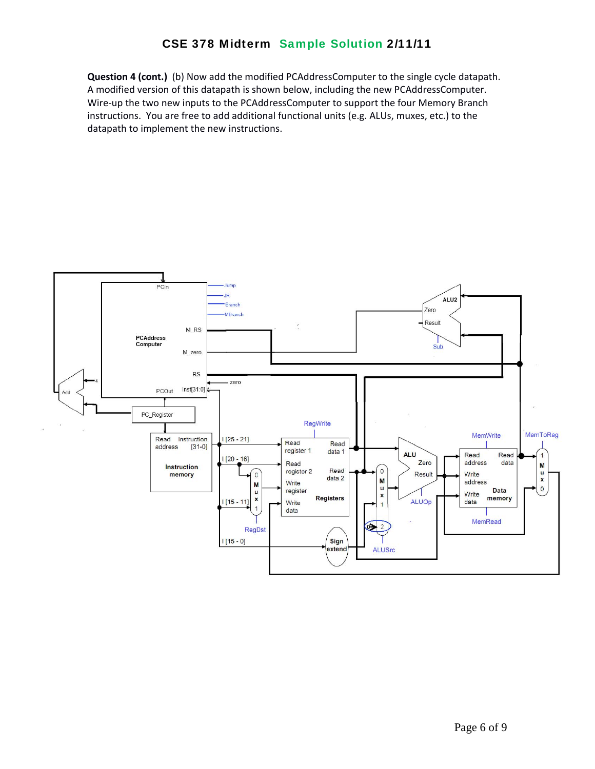**Question 4 (cont.)** (b) Now add the modified PCAddressComputer to the single cycle datapath. A modified version of this datapath is shown below, including the new PCAddressComputer. Wire-up the two new inputs to the PCAddressComputer to support the four Memory Branch instructions. You are free to add additional functional units (e.g. ALUs, muxes, etc.) to the datapath to implement the new instructions.

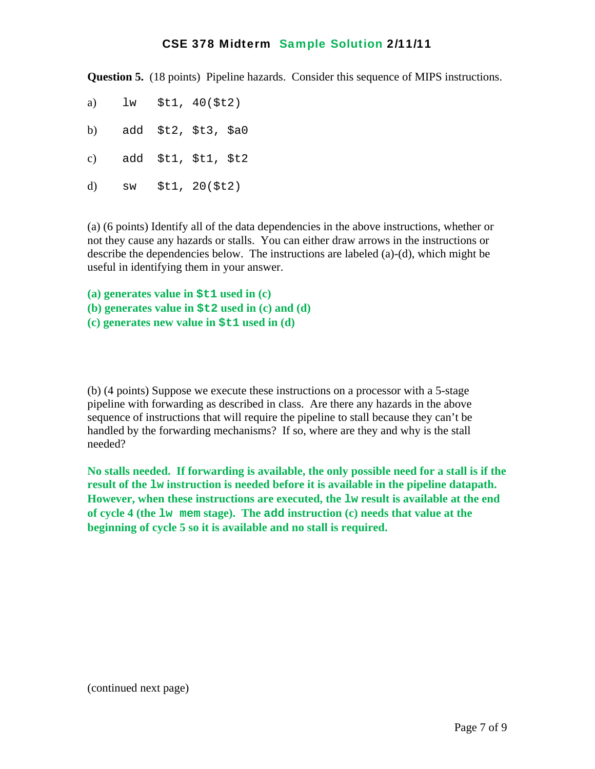**Question 5.** (18 points) Pipeline hazards. Consider this sequence of MIPS instructions.

- a) lw \$t1, 40(\$t2)
- b) add \$t2, \$t3, \$a0
- c) add \$t1, \$t1, \$t2
- d) sw \$t1, 20(\$t2)

(a) (6 points) Identify all of the data dependencies in the above instructions, whether or not they cause any hazards or stalls. You can either draw arrows in the instructions or describe the dependencies below. The instructions are labeled (a)-(d), which might be useful in identifying them in your answer.

**(a) generates value in \$t1 used in (c)** 

- **(b) generates value in \$t2 used in (c) and (d)**
- **(c) generates new value in \$t1 used in (d)**

(b) (4 points) Suppose we execute these instructions on a processor with a 5-stage pipeline with forwarding as described in class. Are there any hazards in the above sequence of instructions that will require the pipeline to stall because they can't be handled by the forwarding mechanisms? If so, where are they and why is the stall needed?

**No stalls needed. If forwarding is available, the only possible need for a stall is if the result of the lw instruction is needed before it is available in the pipeline datapath. However, when these instructions are executed, the lw result is available at the end of cycle 4 (the lw mem stage). The add instruction (c) needs that value at the beginning of cycle 5 so it is available and no stall is required.** 

(continued next page)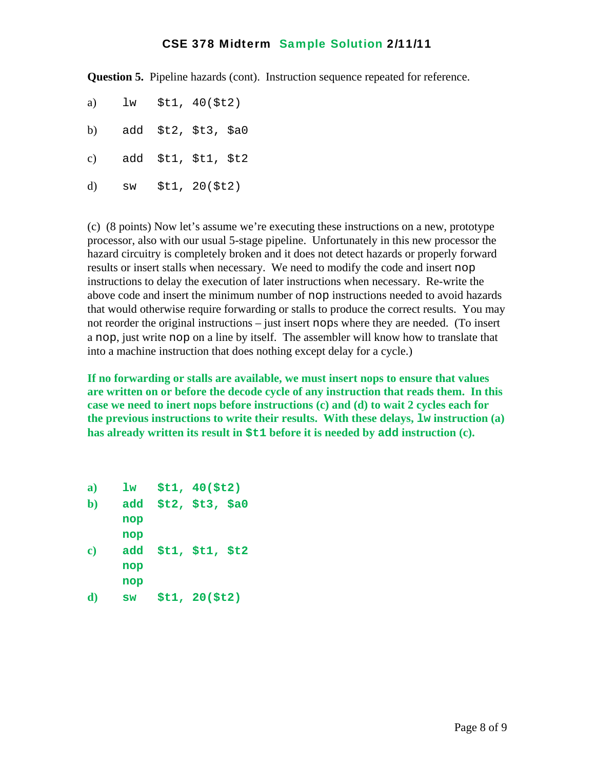**Question 5.** Pipeline hazards (cont). Instruction sequence repeated for reference.

- a) lw \$t1, 40(\$t2)
- b) add \$t2, \$t3, \$a0
- c) add \$t1, \$t1, \$t2
- d) sw \$t1, 20(\$t2)

(c) (8 points) Now let's assume we're executing these instructions on a new, prototype processor, also with our usual 5-stage pipeline. Unfortunately in this new processor the hazard circuitry is completely broken and it does not detect hazards or properly forward results or insert stalls when necessary. We need to modify the code and insert nop instructions to delay the execution of later instructions when necessary. Re-write the above code and insert the minimum number of nop instructions needed to avoid hazards that would otherwise require forwarding or stalls to produce the correct results. You may not reorder the original instructions – just insert nops where they are needed. (To insert a nop, just write nop on a line by itself. The assembler will know how to translate that into a machine instruction that does nothing except delay for a cycle.)

**If no forwarding or stalls are available, we must insert nops to ensure that values are written on or before the decode cycle of any instruction that reads them. In this case we need to inert nops before instructions (c) and (d) to wait 2 cycles each for the previous instructions to write their results. With these delays, lw instruction (a) has already written its result in \$t1 before it is needed by add instruction (c).** 

**a) lw \$t1, 40(\$t2) b) add \$t2, \$t3, \$a0 nop nop c) add \$t1, \$t1, \$t2 nop nop d) sw \$t1, 20(\$t2)**